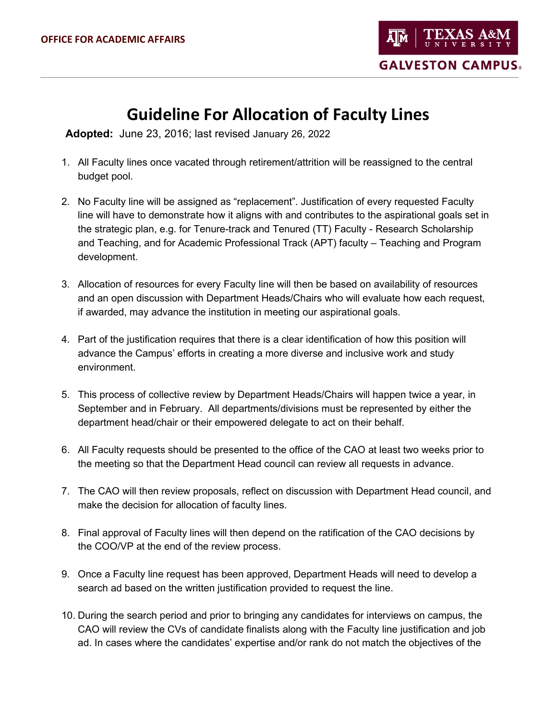**GALVESTON CAMPUS.** 

## **Guideline For Allocation of Faculty Lines**

**Adopted:** June 23, 2016; last revised January 26, 2022

- 1. All Faculty lines once vacated through retirement/attrition will be reassigned to the central budget pool.
- 2. No Faculty line will be assigned as "replacement". Justification of every requested Faculty line will have to demonstrate how it aligns with and contributes to the aspirational goals set in the strategic plan, e.g. for Tenure-track and Tenured (TT) Faculty - Research Scholarship and Teaching, and for Academic Professional Track (APT) faculty – Teaching and Program development.
- 3. Allocation of resources for every Faculty line will then be based on availability of resources and an open discussion with Department Heads/Chairs who will evaluate how each request, if awarded, may advance the institution in meeting our aspirational goals.
- 4. Part of the justification requires that there is a clear identification of how this position will advance the Campus' efforts in creating a more diverse and inclusive work and study environment.
- 5. This process of collective review by Department Heads/Chairs will happen twice a year, in September and in February. All departments/divisions must be represented by either the department head/chair or their empowered delegate to act on their behalf.
- 6. All Faculty requests should be presented to the office of the CAO at least two weeks prior to the meeting so that the Department Head council can review all requests in advance.
- 7. The CAO will then review proposals, reflect on discussion with Department Head council, and make the decision for allocation of faculty lines.
- 8. Final approval of Faculty lines will then depend on the ratification of the CAO decisions by the COO/VP at the end of the review process.
- 9. Once a Faculty line request has been approved, Department Heads will need to develop a search ad based on the written justification provided to request the line.
- 10. During the search period and prior to bringing any candidates for interviews on campus, the CAO will review the CVs of candidate finalists along with the Faculty line justification and job ad. In cases where the candidates' expertise and/or rank do not match the objectives of the